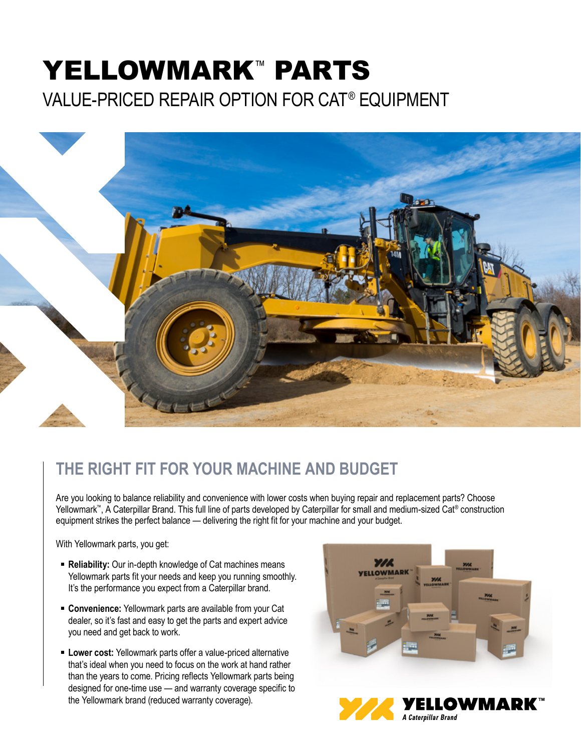# YELLOWMARK™ PARTS VALUE-PRICED REPAIR OPTION FOR CAT® EQUIPMENT



### **THE RIGHT FIT FOR YOUR MACHINE AND BUDGET**

Are you looking to balance reliability and convenience with lower costs when buying repair and replacement parts? Choose Yellowmark™, A Caterpillar Brand. This full line of parts developed by Caterpillar for small and medium-sized Cat® construction equipment strikes the perfect balance — delivering the right fit for your machine and your budget.

With Yellowmark parts, you get:

- **Reliability:** Our in-depth knowledge of Cat machines means Yellowmark parts fit your needs and keep you running smoothly. It's the performance you expect from a Caterpillar brand.
- **Convenience:** Yellowmark parts are available from your Cat dealer, so it's fast and easy to get the parts and expert advice you need and get back to work.
- **Lower cost:** Yellowmark parts offer a value-priced alternative that's ideal when you need to focus on the work at hand rather than the years to come. Pricing reflects Yellowmark parts being designed for one-time use — and warranty coverage specific to the Yellowmark brand (reduced warranty coverage).